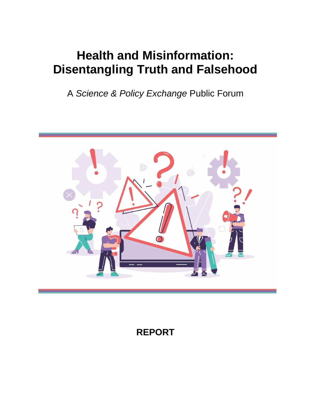# **Health and Misinformation: Disentangling Truth and Falsehood**

A *Science & Policy Exchange* Public Forum



## **REPORT**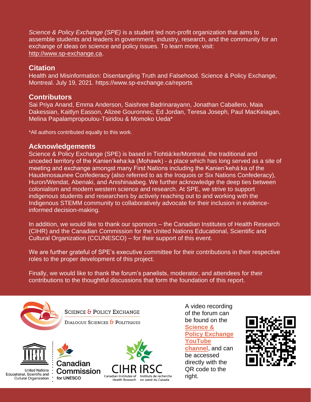*Science & Policy Exchange (SPE)* is a student led non-profit organization that aims to assemble students and leaders in government, industry, research, and the community for an exchange of ideas on science and policy issues. To learn more, visit: [http://www.sp-exchange.ca.](http://www.sp-exchange.ca/)

#### **Citation**

Health and Misinformation: Disentangling Truth and Falsehood. Science & Policy Exchange, Montreal. July 19, 2021.<https://www.sp-exchange.ca/reports>

#### **Contributors**

Sai Priya Anand, Emma Anderson, Saishree Badrinarayann, Jonathan Caballero, Maia Dakessian, Kaitlyn Easson, Alizee Gouronnec, Ed Jordan, Teresa Joseph, Paul MacKeiagan, Melina Papalampropoulou-Tsiridou & Momoko Ueda\*

\*All authors contributed equally to this work.

#### **Acknowledgements**

Science & Policy Exchange (SPE) is based in Tiohtiá:ke/Montreal, the traditional and unceded territory of the Kanien'keha:ka (Mohawk) - a place which has long served as a site of meeting and exchange amongst many First Nations including the Kanien'kehá:ka of the Haudenosaunee Confederacy (also referred to as the Iroquois or Six Nations Confederacy), Huron/Wendat, Abenaki, and Anishinaabeg. We further acknowledge the deep ties between colonialism and modern western science and research. At SPE, we strive to support indigenous students and researchers by actively reaching out to and working with the Indigenous STEMM community to collaboratively advocate for their inclusion in evidenceinformed decision-making.

In addition, we would like to thank our sponsors – the Canadian Institutes of Health Research (CIHR) and the Canadian Commission for the United Nations Educational, Scientific and Cultural Organization (CCUNESCO) – for their support of this event.

We are further grateful of SPE's executive committee for their contributions in their respective roles to the proper development of this project.

Finally, we would like to thank the forum's panelists, moderator, and attendees for their contributions to the thoughtful discussions that form the foundation of this report.



SCIENCE & POLICY EXCHANGE DIALOGUE SCIENCES & POLITIQUES





**United Nations** Educational, Scientific and **Cultural Organization** 





A video recording of the forum can be found on the **[Science &](https://www.youtube.com/watch?v=ZdhNrA4cX2A)  [Policy Exchange](https://www.youtube.com/watch?v=ZdhNrA4cX2A)  [YouTube](https://www.youtube.com/watch?v=ZdhNrA4cX2A)  [channel](https://www.youtube.com/watch?v=ZdhNrA4cX2A)**, and can be accessed directly with the QR code to the right.

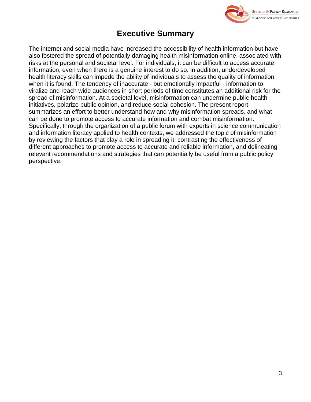

## **Executive Summary**

The internet and social media have increased the accessibility of health information but have also fostered the spread of potentially damaging health misinformation online, associated with risks at the personal and societal level. For individuals, it can be difficult to access accurate information, even when there is a genuine interest to do so. In addition, underdeveloped health literacy skills can impede the ability of individuals to assess the quality of information when it is found. The tendency of inaccurate - but emotionally impactful - information to viralize and reach wide audiences in short periods of time constitutes an additional risk for the spread of misinformation. At a societal level, misinformation can undermine public health initiatives, polarize public opinion, and reduce social cohesion. The present report summarizes an effort to better understand how and why misinformation spreads, and what can be done to promote access to accurate information and combat misinformation. Specifically, through the organization of a public forum with experts in science communication and information literacy applied to health contexts, we addressed the topic of misinformation by reviewing the factors that play a role in spreading it, contrasting the effectiveness of different approaches to promote access to accurate and reliable information, and delineating relevant recommendations and strategies that can potentially be useful from a public policy perspective.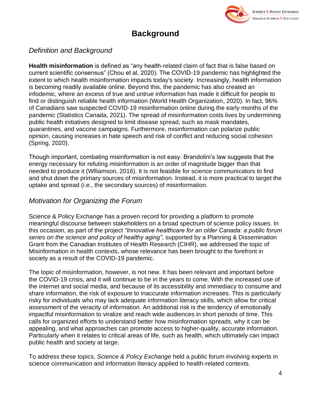

## **Background**

#### *Definition and Background*

**Health misinformation** is defined as "any health-related claim of fact that is false based on current scientific consensus" (Chou et al, 2020). The COVID-19 pandemic has highlighted the extent to which health misinformation impacts today's society. Increasingly, health information is becoming readily available online. Beyond this, the pandemic has also created an infodemic, where an excess of true and untrue information has made it difficult for people to find or distinguish reliable health information (World Health Organization, 2020). In fact, 96% of Canadians saw suspected COVID-19 misinformation online during the early months of the pandemic (Statistics Canada, 2021). The spread of misinformation costs lives by undermining public health initiatives designed to limit disease spread, such as mask mandates, quarantines, and vaccine campaigns. Furthermore, misinformation can polarize public opinion, causing increases in hate speech and risk of conflict and reducing social cohesion (Spring, 2020).

Though important, combating misinformation is not easy. Brandolini's law suggests that the energy necessary for refuting misinformation is an order of magnitude bigger than that needed to produce it (Wlliamson, 2016). It is not feasible for science communicators to find and shut down the primary sources of misinformation. Instead, it is more practical to target the uptake and spread (i.e., the secondary sources) of misinformation.

#### *Motivation for Organizing the Forum*

Science & Policy Exchange has a proven record for providing a platform to promote meaningful discourse between stakeholders on a broad spectrum of science policy issues. In this occasion, as part of the project *"Innovative healthcare for an older Canada: a public forum series on the science and policy of healthy aging"*, supported by a Planning & Dissemination Grant from the Canadian Institutes of Health Research (CIHR), we addressed the topic of Misinformation in health contexts, whose relevance has been brought to the forefront in society as a result of the COVID-19 pandemic.

The topic of misinformation, however, is not new. It has been relevant and important before the COVID-19 crisis, and it will continue to be in the years to come. With the increased use of the internet and social media, and because of its accessibility and immediacy to consume and share information, the risk of exposure to inaccurate information increases. This is particularly risky for individuals who may lack adequate information literacy skills, which allow for critical assessment of the veracity of information. An additional risk is the tendency of emotionally impactful misinformation to viralize and reach wide audiences in short periods of time. This calls for organized efforts to understand better how misinformation spreads, why it can be appealing, and what approaches can promote access to higher-quality, accurate information. Particularly when it relates to critical areas of life, such as health, which ultimately can impact public health and society at large.

To address these topics, *Science & Policy Exchange* held a public forum involving experts in science communication and information literacy applied to health-related contexts.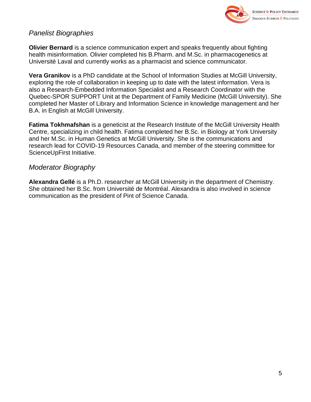

#### *Panelist Biographies*

**Olivier Bernard** is a science communication expert and speaks frequently about fighting health misinformation. Olivier completed his B.Pharm. and M.Sc. in pharmacogenetics at Université Laval and currently works as a pharmacist and science communicator.

**Vera Granikov** is a PhD candidate at the School of Information Studies at McGill University, exploring the role of collaboration in keeping up to date with the latest information. Vera is also a Research-Embedded Information Specialist and a Research Coordinator with the Quebec-SPOR SUPPORT Unit at the Department of Family Medicine (McGill University). She completed her Master of Library and Information Science in knowledge management and her B.A. in English at McGill University.

**Fatima Tokhmafshan** is a geneticist at the Research Institute of the McGill University Health Centre, specializing in child health. Fatima completed her B.Sc. in Biology at York University and her M.Sc. in Human Genetics at McGill University. She is the communications and research lead for COVID-19 Resources Canada, and member of the steering committee for ScienceUpFirst Initiative.

#### *Moderator Biography*

**Alexandra Gellé** is a Ph.D. researcher at McGill University in the department of Chemistry. She obtained her B.Sc. from Université de Montréal. Alexandra is also involved in science communication as the president of Pint of Science Canada.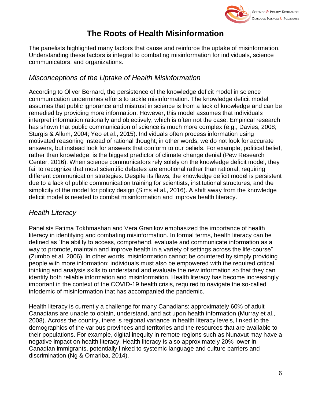

## **The Roots of Health Misinformation**

The panelists highlighted many factors that cause and reinforce the uptake of misinformation. Understanding these factors is integral to combating misinformation for individuals, science communicators, and organizations.

#### *Misconceptions of the Uptake of Health Misinformation*

According to Oliver Bernard, the persistence of the knowledge deficit model in science communication undermines efforts to tackle misinformation. The knowledge deficit model assumes that public ignorance and mistrust in science is from a lack of knowledge and can be remedied by providing more information. However, this model assumes that individuals interpret information rationally and objectively, which is often not the case. Empirical research has shown that public communication of science is much more complex (e.g., Davies, 2008; Sturgis & Allum, 2004; Yeo et al., 2015). Individuals often process information using motivated reasoning instead of rational thought; in other words, we do not look for accurate answers, but instead look for answers that conform to our beliefs. For example, political belief, rather than knowledge, is the biggest predictor of climate change denial (Pew Research Center, 2016). When science communicators rely solely on the knowledge deficit model, they fail to recognize that most scientific debates are emotional rather than rational, requiring different communication strategies. Despite its flaws, the knowledge deficit model is persistent due to a lack of public communication training for scientists, institutional structures, and the simplicity of the model for policy design (Sims et al., 2016). A shift away from the knowledge deficit model is needed to combat misinformation and improve health literacy.

#### *Health Literacy*

Panelists Fatima Tokhmashan and Vera Granikov emphasized the importance of health literacy in identifying and combating misinformation. In formal terms, health literacy can be defined as "the ability to access, comprehend, evaluate and communicate information as a way to promote, maintain and improve health in a variety of settings across the life-course" (Zumbo et al, 2006). In other words, misinformation cannot be countered by simply providing people with more information; individuals must also be empowered with the required critical thinking and analysis skills to understand and evaluate the new information so that they can identify both reliable information and misinformation. Health literacy has become increasingly important in the context of the COVID-19 health crisis, required to navigate the so-called infodemic of misinformation that has accompanied the pandemic.

Health literacy is currently a challenge for many Canadians: approximately 60% of adult Canadians are unable to obtain, understand, and act upon health information (Murray et al., 2008). Across the country, there is regional variance in health literacy levels, linked to the demographics of the various provinces and territories and the resources that are available to their populations. For example, digital inequity in remote regions such as Nunavut may have a negative impact on health literacy. Health literacy is also approximately 20% lower in Canadian immigrants, potentially linked to systemic language and culture barriers and discrimination (Ng & Omariba, 2014).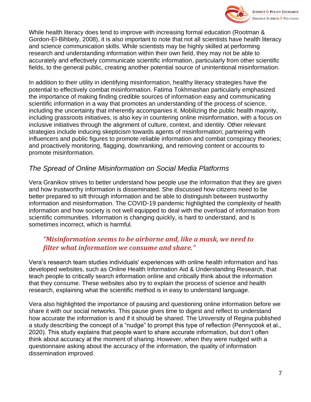

While health literacy does tend to improve with increasing formal education (Rootman & Gordon-El-Bihbety, 2008), it is also important to note that not all scientists have health literacy and science communication skills. While scientists may be highly skilled at performing research and understanding information within their own field, they may not be able to accurately and effectively communicate scientific information, particularly from other scientific fields, to the general public, creating another potential source of unintentional misinformation.

In addition to their utility in identifying misinformation, healthy literacy strategies have the potential to effectively combat misinformation. Fatima Tokhmashan particularly emphasized the importance of making finding credible sources of information easy and communicating scientific information in a way that promotes an understanding of the process of science, including the uncertainty that inherently accompanies it. Mobilizing the public health majority, including grassroots initiatives, is also key in countering online misinformation, with a focus on inclusive initiatives through the alignment of culture, context, and identity. Other relevant strategies include inducing skepticism towards agents of misinformation; partnering with influencers and public figures to promote reliable information and combat conspiracy theories; and proactively monitoring, flagging, downranking, and removing content or accounts to promote misinformation.

#### *The Spread of Online Misinformation on Social Media Platforms*

Vera Granikov strives to better understand how people use the information that they are given and how trustworthy information is disseminated. She discussed how citizens need to be better prepared to sift through information and be able to distinguish between trustworthy information and misinformation. The COVID-19 pandemic highlighted the complexity of health information and how society is not well equipped to deal with the overload of information from scientific communities. Information is changing quickly, is hard to understand, and is sometimes incorrect, which is harmful.

#### *"Misinformation seems to be airborne and, like a mask, we need to filter what information we consume and share."*

Vera's research team studies individuals' experiences with online health information and has developed websites, such as [Online Health Information Aid](https://www.healthsanteinfo.ca/) & [Understanding Research,](https://osf.io/p4bsy/) that teach people to critically search information online and critically think about the information that they consume. These websites also try to explain the process of science and health research, explaining what the scientific method is in easy to understand language.

Vera also highlighted the importance of pausing and questioning online information before we share it with our social networks. This pause gives time to digest and reflect to understand how accurate the information is and if it should be shared. The University of Regina published a study describing the concept of a "nudge" to prompt this type of reflection (Pennycook et al., 2020). This study explains that people want to share accurate information, but don't often think about accuracy at the moment of sharing. However, when they were nudged with a questionnaire asking about the accuracy of the information, the quality of information dissemination improved.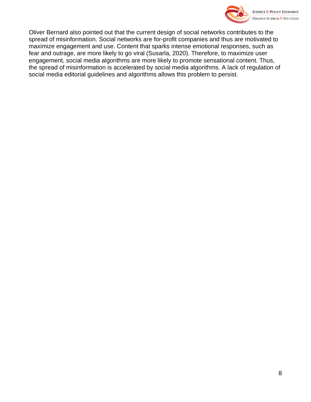

Oliver Bernard also pointed out that the current design of social networks contributes to the spread of misinformation. Social networks are for-profit companies and thus are motivated to maximize engagement and use. Content that sparks intense emotional responses, such as fear and outrage, are more likely to go viral (Susarla, 2020). Therefore, to maximize user engagement, social media algorithms are more likely to promote sensational content. Thus, the spread of misinformation is accelerated by social media algorithms. A lack of regulation of social media editorial guidelines and algorithms allows this problem to persist.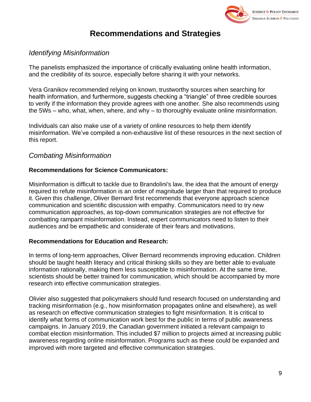

## **Recommendations and Strategies**

#### *Identifying Misinformation*

The panelists emphasized the importance of critically evaluating online health information, and the credibility of its source, especially before sharing it with your networks.

Vera Granikov recommended relying on known, trustworthy sources when searching for health information, and furthermore, suggests checking a "triangle" of three credible sources to verify if the information they provide agrees with one another. She also recommends using the 5Ws – who, what, when, where, and why – to thoroughly evaluate online misinformation.

Individuals can also make use of a variety of online resources to help them identify misinformation. We've compiled a non-exhaustive list of these resources in the next section of this report.

#### *Combating Misinformation*

#### **Recommendations for Science Communicators:**

Misinformation is difficult to tackle due to Brandolini's law, the idea that the amount of energy required to refute misinformation is an order of magnitude larger than that required to produce it. Given this challenge, Oliver Bernard first recommends that everyone approach science communication and scientific discussion with empathy. Communicators need to try new communication approaches, as top-down communication strategies are not effective for combatting rampant misinformation. Instead, expert communicators need to listen to their audiences and be empathetic and considerate of their fears and motivations.

#### **Recommendations for Education and Research:**

In terms of long-term approaches, Oliver Bernard recommends improving education. Children should be taught health literacy and critical thinking skills so they are better able to evaluate information rationally, making them less susceptible to misinformation. At the same time, scientists should be better trained for communication, which should be accompanied by more research into effective communication strategies.

Olivier also suggested that policymakers should fund research focused on understanding and tracking misinformation (e.g., how misinformation propagates online and elsewhere), as well as research on effective communication strategies to fight misinformation. It is critical to identify what forms of communication work best for the public in terms of public awareness campaigns. In January 2019, the Canadian government initiated a relevant campaign to combat election misinformation. This included \$7 million to projects aimed at increasing public awareness regarding online misinformation. Programs such as these could be expanded and improved with more targeted and effective communication strategies.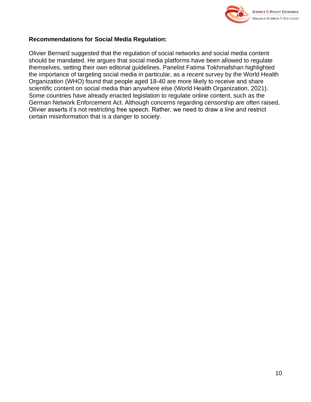

#### **Recommendations for Social Media Regulation:**

Olivier Bernard suggested that the regulation of social networks and social media content should be mandated. He argues that social media platforms have been allowed to regulate themselves, setting their own editorial guidelines. Panelist Fatima Tokhmafshan highlighted the importance of targeting social media in particular, as a recent survey by the World Health Organization (WHO) found that people aged 18-40 are more likely to receive and share scientific content on social media than anywhere else (World Health Organization, 2021). Some countries have already enacted legislation to regulate online content, such as the German Network Enforcement Act. Although concerns regarding censorship are often raised, Olivier asserts it's not restricting free speech. Rather, we need to draw a line and restrict certain misinformation that is a danger to society.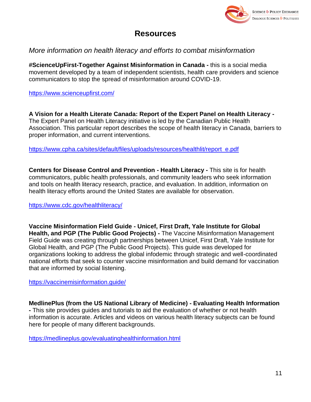

## **Resources**

#### *More information on health literacy and efforts to combat misinformation*

**#ScienceUpFirst-Together Against Misinformation in Canada -** this is a social media movement developed by a team of independent scientists, health care providers and science communicators to stop the spread of misinformation around COVID-19.

<https://www.scienceupfirst.com/>

**A Vision for a Health Literate Canada: Report of the Expert Panel on Health Literacy -** The Expert Panel on Health Literacy initiative is led by the Canadian Public Health Association. This particular report describes the scope of health literacy in Canada, barriers to proper information, and current interventions.

[https://www.cpha.ca/sites/default/files/uploads/resources/healthlit/report\\_e.pdf](https://www.cpha.ca/sites/default/files/uploads/resources/healthlit/report_e.pdf)

**Centers for Disease Control and Prevention - Health Literacy -** This site is for health communicators, public health professionals, and community leaders who seek information and tools on health literacy research, practice, and evaluation. In addition, information on health literacy efforts around the United States are available for observation.

<https://www.cdc.gov/healthliteracy/>

**Vaccine Misinformation Field Guide - Unicef, First Draft, Yale Institute for Global Health, and PGP (The Public Good Projects) -** The Vaccine Misinformation Management Field Guide was creating through partnerships between Unicef, First Draft, Yale Institute for Global Health, and PGP (The Public Good Projects). This guide was developed for organizations looking to address the global infodemic through strategic and well-coordinated national efforts that seek to counter vaccine misinformation and build demand for vaccination that are informed by social listening.

<https://vaccinemisinformation.guide/>

**MedlinePlus (from the US National Library of Medicine) - Evaluating Health Information -** This site provides guides and tutorials to aid the evaluation of whether or not health information is accurate. Articles and videos on various health literacy subjects can be found here for people of many different backgrounds.

<https://medlineplus.gov/evaluatinghealthinformation.html>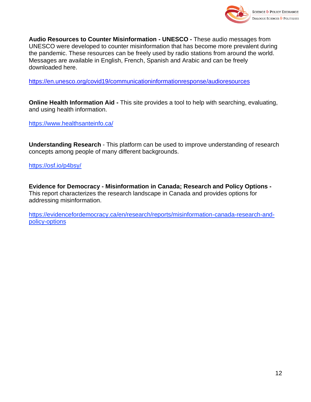

**Audio Resources to Counter Misinformation - UNESCO -** These audio messages from UNESCO were developed to counter misinformation that has become more prevalent during the pandemic. These resources can be freely used by radio stations from around the world. Messages are available in English, French, Spanish and Arabic and can be freely downloaded here.

<https://en.unesco.org/covid19/communicationinformationresponse/audioresources>

**Online Health Information Aid -** This site provides a tool to help with searching, evaluating, and using health information.

<https://www.healthsanteinfo.ca/>

**Understanding Research** - This platform can be used to improve understanding of research concepts among people of many different backgrounds.

<https://osf.io/p4bsy/>

**Evidence for Democracy - Misinformation in Canada; Research and Policy Options -** This report characterizes the research landscape in Canada and provides options for addressing misinformation.

[https://evidencefordemocracy.ca/en/research/reports/misinformation-canada-research-and](https://evidencefordemocracy.ca/en/research/reports/misinformation-canada-research-and-policy-options)[policy-options](https://evidencefordemocracy.ca/en/research/reports/misinformation-canada-research-and-policy-options)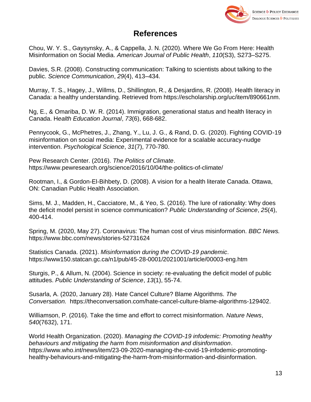

#### **References**

Chou, W. Y. S., Gaysynsky, A., & Cappella, J. N. (2020). Where We Go From Here: Health Misinformation on Social Media. *American Journal of Public Health*, *110*(S3), S273–S275.

Davies, S.R. (2008). Constructing communication: Talking to scientists about talking to the public. *Science Communication*, *29*(4), 413–434.

Murray, T. S., Hagey, J., Willms, D., Shillington, R., & Desjardins, R. (2008). Health literacy in Canada: a healthy understanding. Retrieved from https://escholarship.org/uc/item/890661nm.

Ng, E., & Omariba, D. W. R. (2014). Immigration, generational status and health literacy in Canada. H*ealth Education Journal*, *73*(6), 668-682.

Pennycook, G., McPhetres, J., Zhang, Y., Lu, J. G., & Rand, D. G. (2020). Fighting COVID-19 misinformation on social media: Experimental evidence for a scalable accuracy-nudge intervention. *Psychological Science*, *31*(7), 770-780.

Pew Research Center. (2016). *The Politics of Climate*. https://www.pewresearch.org/science/2016/10/04/the-politics-of-climate/

Rootman, I., & Gordon-El-Bihbety, D. (2008). A vision for a health literate Canada. Ottawa, ON: Canadian Public Health Association.

Sims, M. J., Madden, H., Cacciatore, M., & Yeo, S. (2016). The lure of rationality: Why does the deficit model persist in science communication? *Public Understanding of Science*, *25*(4), 400-414.

Spring, M. (2020, May 27). Coronavirus: The human cost of virus misinformation. *BBC News.* https://www.bbc.com/news/stories-52731624

Statistics Canada. (2021). *Misinformation during the COVID-19 pandemic*. https://www150.statcan.gc.ca/n1/pub/45-28-0001/2021001/article/00003-eng.htm

Sturgis, P., & Allum, N. (2004). Science in society: re-evaluating the deficit model of public attitudes. *Public Understanding of Science*, *13*(1), 55-74.

Susarla, A. (2020, January 28). Hate Cancel Culture? Blame Algorithms. *The Conversation.* https://theconversation.com/hate-cancel-culture-blame-algorithms-129402.

Williamson, P. (2016). Take the time and effort to correct misinformation. *Nature News*, *540*(7632), 171.

World Health Organization. (2020). *Managing the COVID-19 infodemic: Promoting healthy behaviours and mitigating the harm from misinformation and disinformation*. https://www.who.int/news/item/23-09-2020-managing-the-covid-19-infodemic-promotinghealthy-behaviours-and-mitigating-the-harm-from-misinformation-and-disinformation.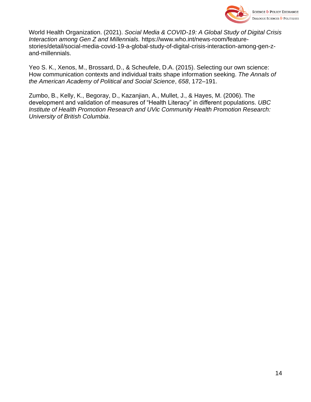

World Health Organization. (2021). *Social Media & COVID-19: A Global Study of Digital Crisis Interaction among Gen Z and Millennials.* https://www.who.int/news-room/featurestories/detail/social-media-covid-19-a-global-study-of-digital-crisis-interaction-among-gen-zand-millennials.

Yeo S. K., Xenos, M., Brossard, D., & Scheufele, D.A. (2015). Selecting our own science: How communication contexts and individual traits shape information seeking. *The Annals of the American Academy of Political and Social Science*, *658*, 172–191.

Zumbo, B., Kelly, K., Begoray, D., Kazanjian, A., Mullet, J., & Hayes, M. (2006). The development and validation of measures of "Health Literacy" in different populations. *UBC Institute of Health Promotion Research and UVic Community Health Promotion Research: University of British Columbia*.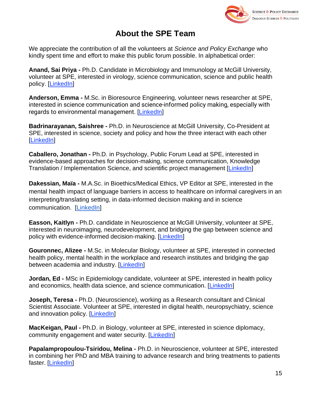

## **About the SPE Team**

We appreciate the contribution of all the volunteers at *Science and Policy Exchange* who kindly spent time and effort to make this public forum possible. In alphabetical order:

**Anand, Sai Priya -** Ph.D. Candidate in Microbiology and Immunology at McGill University, volunteer at SPE, interested in virology, science communication, science and public health policy. [\[LinkedIn\]](https://www.linkedin.com/in/sai-priya-anand-8344bbb1/)

**Anderson, Emma -** M.Sc. in Bioresource Engineering, volunteer news researcher at SPE, interested in science communication and science-informed policy making, especially with regards to environmental management. [\[LinkedIn\]](https://www.linkedin.com/in/emma-cooper-anderson/)

**Badrinarayanan, Saishree -** Ph.D. in Neuroscience at McGill University, Co-President at SPE, interested in science, society and policy and how the three interact with each other [\[LinkedIn\]](https://www.linkedin.com/in/saishree-badrinarayanan/)

**Caballero, Jonathan -** Ph.D. in Psychology, Public Forum Lead at SPE, interested in evidence-based approaches for decision-making, science communication, Knowledge Translation / Implementation Science, and scientific project management [\[LinkedIn\]](https://www.linkedin.com/in/jonathan-a-caballero/)

**Dakessian, Maïa -** M.A.Sc. in Bioethics/Medical Ethics, VP Editor at SPE, interested in the mental health impact of language barriers in access to healthcare on informal caregivers in an interpreting/translating setting, in data-informed decision making and in science communication. [\[LinkedIn\]](https://www.linkedin.com/in/ma%C3%AFa-dakessian-6bb062174/)

**Easson, Kaitlyn -** Ph.D. candidate in Neuroscience at McGill University, volunteer at SPE, interested in neuroimaging, neurodevelopment, and bridging the gap between science and policy with evidence-informed decision-making. [\[LinkedIn\]](https://www.linkedin.com/in/kaitlyn-easson/)

**Gouronnec, Alizee -** M.Sc. in Molecular Biology, volunteer at SPE, interested in connected health policy, mental health in the workplace and research institutes and bridging the gap between academia and industry. [\[LinkedIn\]](https://www.linkedin.com/in/alizee-gouronnec/?originalSubdomain=ca)

**Jordan, Ed -** MSc in Epidemiology candidate, volunteer at SPE, interested in health policy and economics, health data science, and science communication. [\[LinkedIn\]](https://www.linkedin.com/feed/)

**Joseph, Teresa -** Ph.D. (Neuroscience), working as a Research consultant and Clinical Scientist Associate. Volunteer at SPE, interested in digital health, neuropsychiatry, science and innovation policy. [\[LinkedIn\]](https://www.linkedin.com/in/teresa-joseph-62450a28/)

**MacKeigan, Paul -** Ph.D. in Biology, volunteer at SPE, interested in science diplomacy, community engagement and water security. [\[LinkedIn\]](https://www.linkedin.com/in/paul-mackeigan-91316287/)

**Papalampropoulou-Tsiridou, Melina -** Ph.D. in Neuroscience, volunteer at SPE, interested in combining her PhD and MBA training to advance research and bring treatments to patients faster. [\[LinkedIn\]](https://www.linkedin.com/in/melina-papalampropoulou-tsiridou/)